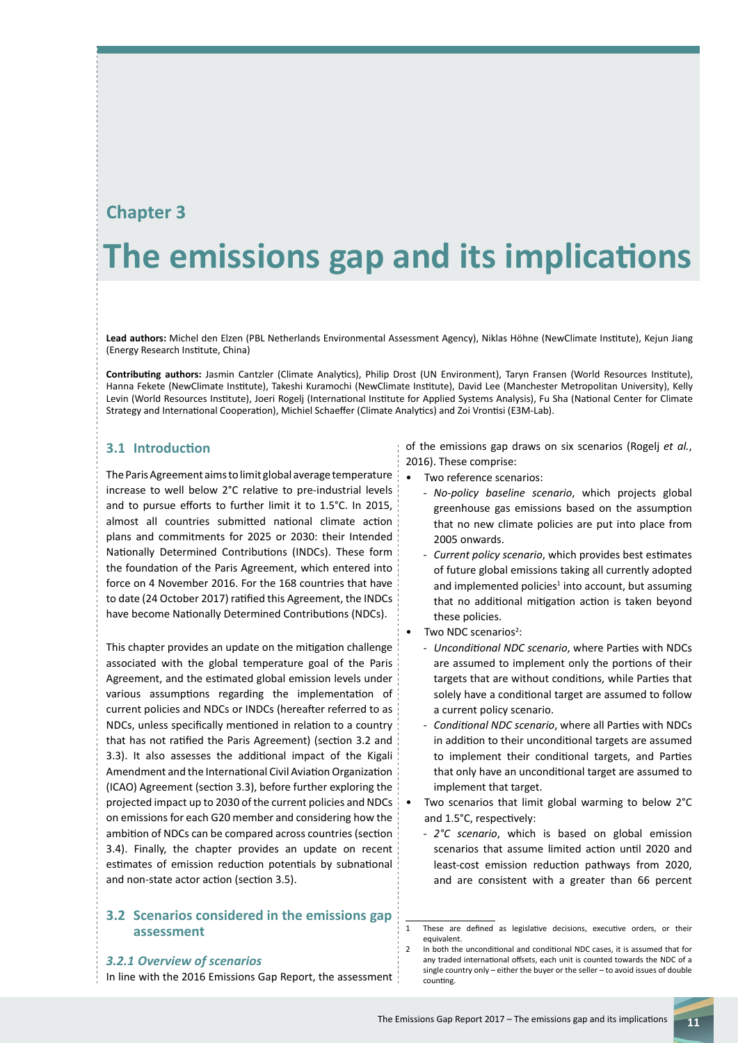# **Chapter 3**

# **The emissions gap and its implications**

**Lead authors:** Michel den Elzen (PBL Netherlands Environmental Assessment Agency), Niklas Höhne (NewClimate Institute), Kejun Jiang (Energy Research Institute, China)

**Contributing authors:** Jasmin Cantzler (Climate Analytics), Philip Drost (UN Environment), Taryn Fransen (World Resources Institute), Hanna Fekete (NewClimate Institute), Takeshi Kuramochi (NewClimate Institute), David Lee (Manchester Metropolitan University), Kelly Levin (World Resources Institute), Joeri Rogelj (International Institute for Applied Systems Analysis), Fu Sha (National Center for Climate Strategy and International Cooperation), Michiel Schaeffer (Climate Analytics) and Zoi Vrontisi (E3M-Lab).

# **3.1 Introduction**

The Paris Agreement aims to limit global average temperature increase to well below 2°C relative to pre-industrial levels and to pursue efforts to further limit it to 1.5°C. In 2015, almost all countries submitted national climate action plans and commitments for 2025 or 2030: their Intended Nationally Determined Contributions (INDCs). These form the foundation of the Paris Agreement, which entered into force on 4 November 2016. For the 168 countries that have to date (24 October 2017) ratified this Agreement, the INDCs have become Nationally Determined Contributions (NDCs).

This chapter provides an update on the mitigation challenge associated with the global temperature goal of the Paris Agreement, and the estimated global emission levels under various assumptions regarding the implementation of current policies and NDCs or INDCs (hereafter referred to as NDCs, unless specifically mentioned in relation to a country that has not ratified the Paris Agreement) (section 3.2 and 3.3). It also assesses the additional impact of the Kigali Amendment and the International Civil Aviation Organization (ICAO) Agreement (section 3.3), before further exploring the projected impact up to 2030 of the current policies and NDCs on emissions for each G20 member and considering how the ambition of NDCs can be compared across countries (section 3.4). Finally, the chapter provides an update on recent estimates of emission reduction potentials by subnational and non-state actor action (section 3.5).

#### **3.2 Scenarios considered in the emissions gap assessment**

#### *3.2.1 Overview of scenarios*

In line with the 2016 Emissions Gap Report, the assessment

of the emissions gap draws on six scenarios (Rogelj *et al.*, 2016). These comprise:

- Two reference scenarios:
	- *No-policy baseline scenario*, which projects global greenhouse gas emissions based on the assumption that no new climate policies are put into place from 2005 onwards.
	- *Current policy scenario*, which provides best estimates of future global emissions taking all currently adopted and implemented policies $1$  into account, but assuming that no additional mitigation action is taken beyond these policies.
- Two NDC scenarios<sup>2</sup>:
	- *Unconditional NDC scenario*, where Parties with NDCs are assumed to implement only the portions of their targets that are without conditions, while Parties that solely have a conditional target are assumed to follow a current policy scenario.
	- *Conditional NDC scenario*, where all Parties with NDCs in addition to their unconditional targets are assumed to implement their conditional targets, and Parties that only have an unconditional target are assumed to implement that target.
	- Two scenarios that limit global warming to below 2°C and 1.5°C, respectively:
	- 2°C scenario, which is based on global emission scenarios that assume limited action until 2020 and least-cost emission reduction pathways from 2020, and are consistent with a greater than 66 percent

<sup>1</sup> These are defined as legislative decisions, executive orders, or their equivalent.

<sup>2</sup> In both the unconditional and conditional NDC cases, it is assumed that for any traded international offsets, each unit is counted towards the NDC of a single country only – either the buyer or the seller – to avoid issues of double counting.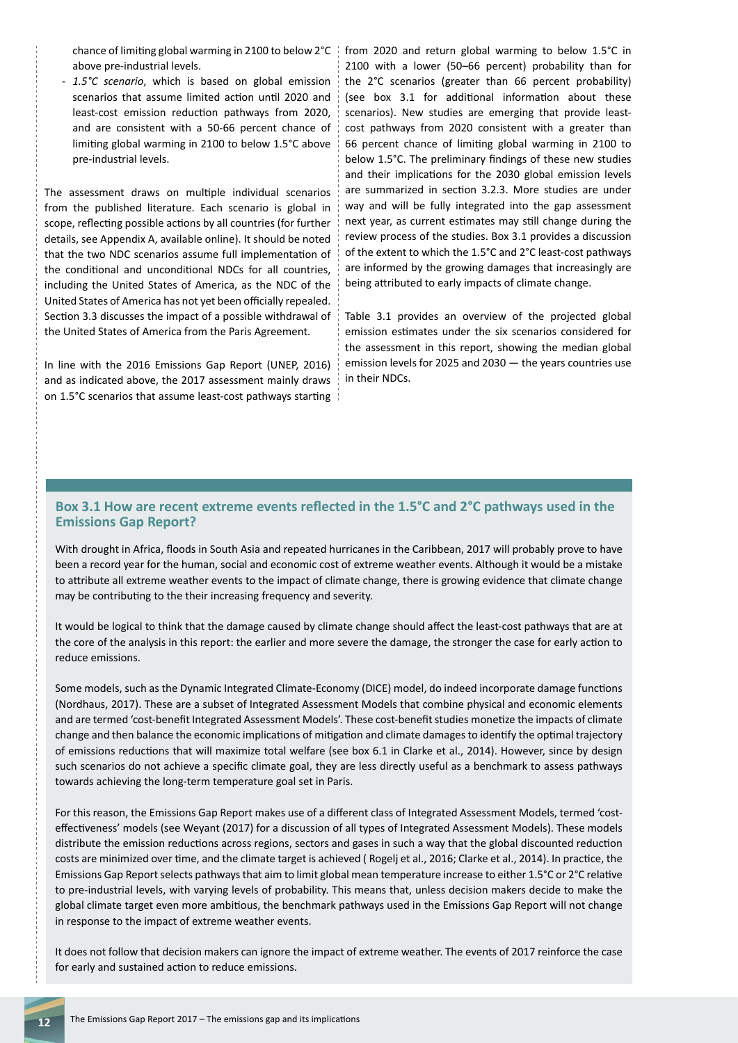above pre-industrial levels.

1.5°C scenario, which is based on global emission scenarios that assume limited action until 2020 and least-cost emission reduction pathways from 2020, and are consistent with a 50-66 percent chance of limiting global warming in 2100 to below 1.5°C above pre-industrial levels.

The assessment draws on multiple individual scenarios from the published literature. Each scenario is global in scope, reflecting possible actions by all countries (for further details, see Appendix A, available online). It should be noted that the two NDC scenarios assume full implementation of the conditional and unconditional NDCs for all countries, including the United States of America, as the NDC of the United States of America has not yet been officially repealed. Section 3.3 discusses the impact of a possible withdrawal of the United States of America from the Paris Agreement.

In line with the 2016 Emissions Gap Report (UNEP, 2016) and as indicated above, the 2017 assessment mainly draws on 1.5°C scenarios that assume least-cost pathways starting

chance of limiting global warming in 2100 to below 2°C from 2020 and return global warming to below 1.5°C in 2100 with a lower (50–66 percent) probability than for the 2°C scenarios (greater than 66 percent probability) (see box 3.1 for additional information about these scenarios). New studies are emerging that provide leastcost pathways from 2020 consistent with a greater than 66 percent chance of limiting global warming in 2100 to below 1.5°C. The preliminary findings of these new studies and their implications for the 2030 global emission levels are summarized in section 3.2.3. More studies are under way and will be fully integrated into the gap assessment next year, as current estimates may still change during the review process of the studies. Box 3.1 provides a discussion of the extent to which the 1.5°C and 2°C least-cost pathways are informed by the growing damages that increasingly are being attributed to early impacts of climate change.

> Table 3.1 provides an overview of the projected global emission estimates under the six scenarios considered for the assessment in this report, showing the median global emission levels for 2025 and 2030 — the years countries use in their NDCs.

# **Box 3.1 How are recent extreme events reflected in the 1.5°C and 2°C pathways used in the Emissions Gap Report?**

With drought in Africa, floods in South Asia and repeated hurricanes in the Caribbean, 2017 will probably prove to have been a record year for the human, social and economic cost of extreme weather events. Although it would be a mistake to attribute all extreme weather events to the impact of climate change, there is growing evidence that climate change may be contributing to the their increasing frequency and severity.

It would be logical to think that the damage caused by climate change should affect the least-cost pathways that are at the core of the analysis in this report: the earlier and more severe the damage, the stronger the case for early action to reduce emissions.

Some models, such as the Dynamic Integrated Climate-Economy (DICE) model, do indeed incorporate damage functions (Nordhaus, 2017). These are a subset of Integrated Assessment Models that combine physical and economic elements and are termed 'cost-benefit Integrated Assessment Models'. These cost-benefit studies monetize the impacts of climate change and then balance the economic implications of mitigation and climate damages to identify the optimal trajectory of emissions reductions that will maximize total welfare (see box 6.1 in Clarke et al., 2014). However, since by design such scenarios do not achieve a specific climate goal, they are less directly useful as a benchmark to assess pathways towards achieving the long-term temperature goal set in Paris.

For this reason, the Emissions Gap Report makes use of a different class of Integrated Assessment Models, termed 'costeffectiveness' models (see Weyant (2017) for a discussion of all types of Integrated Assessment Models). These models distribute the emission reductions across regions, sectors and gases in such a way that the global discounted reduction costs are minimized over time, and the climate target is achieved ( Rogelj et al., 2016; Clarke et al., 2014). In practice, the Emissions Gap Report selects pathways that aim to limit global mean temperature increase to either 1.5°C or 2°C relative to pre-industrial levels, with varying levels of probability. This means that, unless decision makers decide to make the global climate target even more ambitious, the benchmark pathways used in the Emissions Gap Report will not change in response to the impact of extreme weather events.

It does not follow that decision makers can ignore the impact of extreme weather. The events of 2017 reinforce the case for early and sustained action to reduce emissions.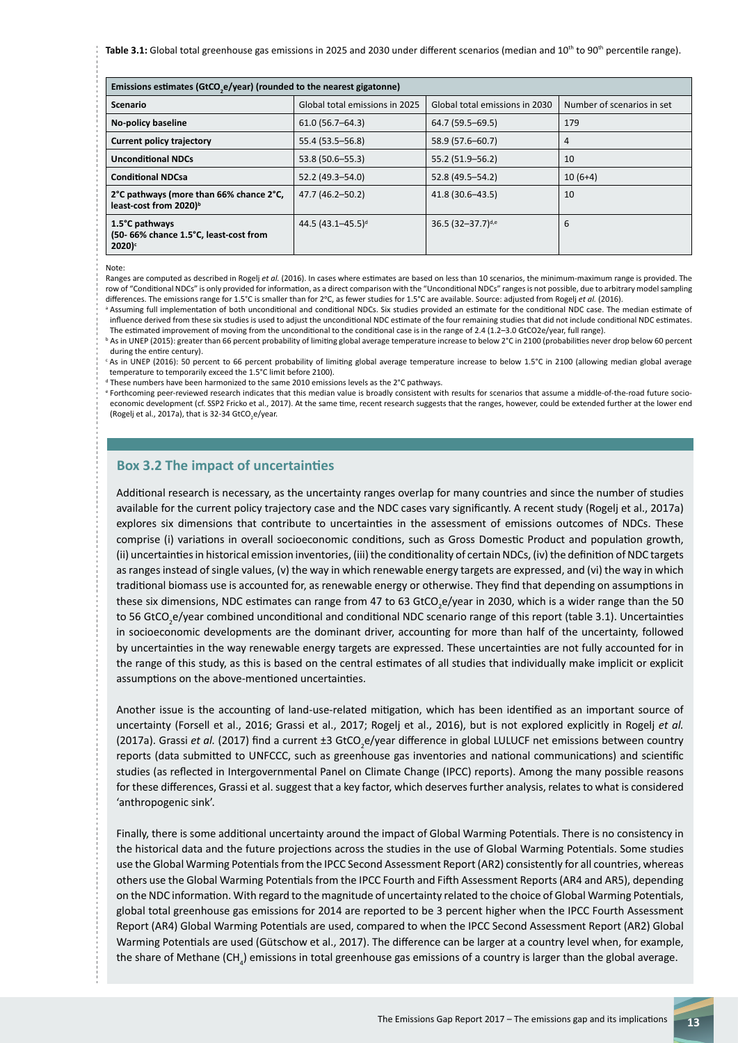Table 3.1: Global total greenhouse gas emissions in 2025 and 2030 under different scenarios (median and 10<sup>th</sup> to 90<sup>th</sup> percentile range).

| Emissions estimates (GtCO <sub>,</sub> e/year) (rounded to the nearest gigatonne) |                                |                                |                            |
|-----------------------------------------------------------------------------------|--------------------------------|--------------------------------|----------------------------|
| <b>Scenario</b>                                                                   | Global total emissions in 2025 | Global total emissions in 2030 | Number of scenarios in set |
| No-policy baseline                                                                | $61.0(56.7 - 64.3)$            | 64.7 (59.5–69.5)               | 179                        |
| <b>Current policy trajectory</b>                                                  | 55.4 (53.5 - 56.8)             | 58.9 (57.6-60.7)               | 4                          |
| <b>Unconditional NDCs</b>                                                         | 53.8 (50.6-55.3)               | 55.2 (51.9 - 56.2)             | 10                         |
| <b>Conditional NDCsa</b>                                                          | 52.2 (49.3-54.0)               | 52.8 (49.5 - 54.2)             | $10(6+4)$                  |
| 2°C pathways (more than 66% chance 2°C,<br>least-cost from 2020) <sup>b</sup>     | 47.7 (46.2-50.2)               | 41.8 (30.6-43.5)               | 10                         |
| 1.5°C pathways<br>(50- 66% chance 1.5°C, least-cost from<br>$2020$ <sup>c</sup>   | 44.5 $(43.1 - 45.5)^d$         | 36.5 $(32-37.7)^{d,e}$         | 6                          |

Note:

Ranges are computed as described in Rogelj *et al.* (2016). In cases where estimates are based on less than 10 scenarios, the minimum-maximum range is provided. The row of "Conditional NDCs" is only provided for information, as a direct comparison with the "Unconditional NDCs" ranges is not possible, due to arbitrary model sampling differences. The emissions range for 1.5°C is smaller than for 2°C, as fewer studies for 1.5°C are available. Source: adjusted from Rogelj *et al.* (2016).

a Assuming full implementation of both unconditional and conditional NDCs. Six studies provided an estimate for the conditional NDC case. The median estimate of influence derived from these six studies is used to adjust the unconditional NDC estimate of the four remaining studies that did not include conditional NDC estimates. The estimated improvement of moving from the unconditional to the conditional case is in the range of 2.4 (1.2–3.0 GtCO2e/year, full range).

**b** As in UNEP (2015): greater than 66 percent probability of limiting global average temperature increase to below 2°C in 2100 (probabilities never drop below 60 percent during the entire century).

<sup>c</sup> As in UNEP (2016): 50 percent to 66 percent probability of limiting global average temperature increase to below 1.5°C in 2100 (allowing median global average temperature to temporarily exceed the 1.5°C limit before 2100).

d These numbers have been harmonized to the same 2010 emissions levels as the 2°C pathways.

e Forthcoming peer-reviewed research indicates that this median value is broadly consistent with results for scenarios that assume a middle-of-the-road future socioeconomic development (cf. SSP2 Fricko et al., 2017). At the same time, recent research suggests that the ranges, however, could be extended further at the lower end (Rogelj et al., 2017a), that is 32-34 GtCO<sub>2</sub>e/year.

#### **Box 3.2 The impact of uncertainties**

Additional research is necessary, as the uncertainty ranges overlap for many countries and since the number of studies available for the current policy trajectory case and the NDC cases vary significantly. A recent study (Rogelj et al., 2017a) explores six dimensions that contribute to uncertainties in the assessment of emissions outcomes of NDCs. These comprise (i) variations in overall socioeconomic conditions, such as Gross Domestic Product and population growth, (ii) uncertainties in historical emission inventories, (iii) the conditionality of certain NDCs, (iv) the definition of NDC targets as ranges instead of single values, (v) the way in which renewable energy targets are expressed, and (vi) the way in which traditional biomass use is accounted for, as renewable energy or otherwise. They find that depending on assumptions in these six dimensions, NDC estimates can range from 47 to 63 GtCO<sub>2</sub>e/year in 2030, which is a wider range than the 50 to 56 GtCO<sub>2</sub>e/year combined unconditional and conditional NDC scenario range of this report (table 3.1). Uncertainties in socioeconomic developments are the dominant driver, accounting for more than half of the uncertainty, followed by uncertainties in the way renewable energy targets are expressed. These uncertainties are not fully accounted for in the range of this study, as this is based on the central estimates of all studies that individually make implicit or explicit assumptions on the above-mentioned uncertainties.

Another issue is the accounting of land-use-related mitigation, which has been identified as an important source of uncertainty (Forsell et al., 2016; Grassi et al., 2017; Rogelj et al., 2016), but is not explored explicitly in Rogelj *et al.* (2017a). Grassi *et al.* (2017) find a current ±3 GtCO<sub>2</sub>e/year difference in global LULUCF net emissions between country reports (data submitted to UNFCCC, such as greenhouse gas inventories and national communications) and scientific studies (as reflected in Intergovernmental Panel on Climate Change (IPCC) reports). Among the many possible reasons for these differences, Grassi et al. suggest that a key factor, which deserves further analysis, relates to what is considered 'anthropogenic sink'.

Finally, there is some additional uncertainty around the impact of Global Warming Potentials. There is no consistency in the historical data and the future projections across the studies in the use of Global Warming Potentials. Some studies use the Global Warming Potentials from the IPCC Second Assessment Report (AR2) consistently for all countries, whereas others use the Global Warming Potentials from the IPCC Fourth and Fifth Assessment Reports (AR4 and AR5), depending on the NDC information. With regard to the magnitude of uncertainty related to the choice of Global Warming Potentials, global total greenhouse gas emissions for 2014 are reported to be 3 percent higher when the IPCC Fourth Assessment Report (AR4) Global Warming Potentials are used, compared to when the IPCC Second Assessment Report (AR2) Global Warming Potentials are used (Gütschow et al., 2017). The difference can be larger at a country level when, for example, the share of Methane (CH<sub>4</sub>) emissions in total greenhouse gas emissions of a country is larger than the global average.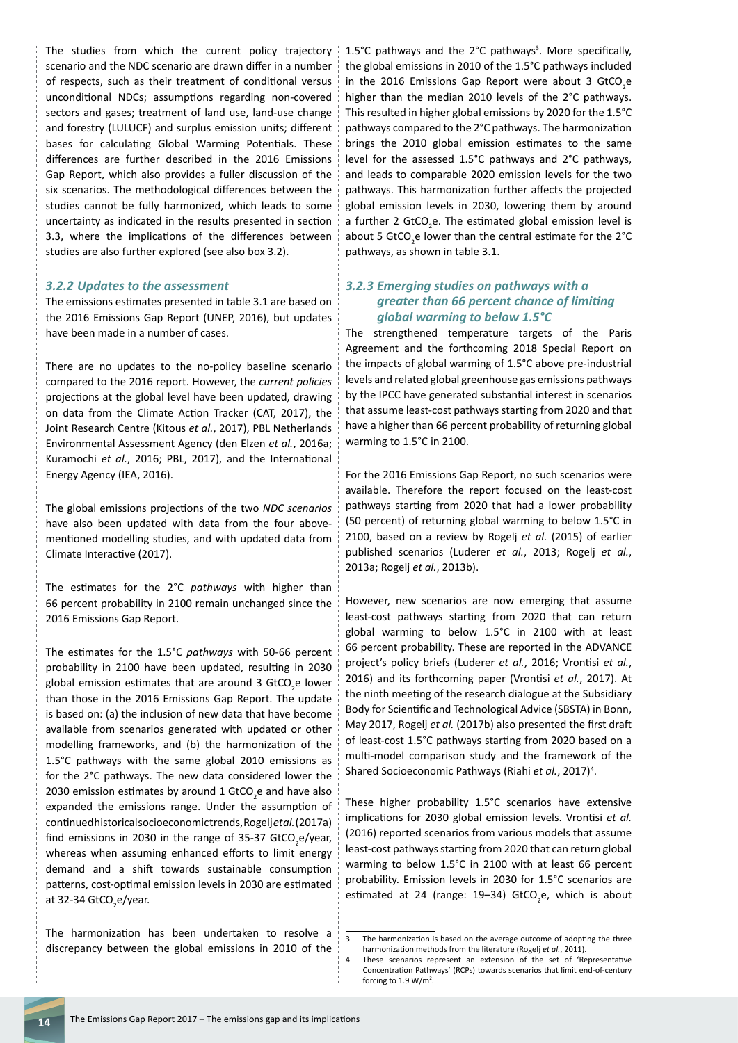The studies from which the current policy trajectory scenario and the NDC scenario are drawn differ in a number of respects, such as their treatment of conditional versus unconditional NDCs; assumptions regarding non-covered sectors and gases; treatment of land use, land-use change and forestry (LULUCF) and surplus emission units; different bases for calculating Global Warming Potentials. These differences are further described in the 2016 Emissions Gap Report, which also provides a fuller discussion of the six scenarios. The methodological differences between the studies cannot be fully harmonized, which leads to some uncertainty as indicated in the results presented in section 3.3, where the implications of the differences between studies are also further explored (see also box 3.2).

#### *3.2.2 Updates to the assessment*

The emissions estimates presented in table 3.1 are based on the 2016 Emissions Gap Report (UNEP, 2016), but updates have been made in a number of cases.

There are no updates to the no-policy baseline scenario compared to the 2016 report. However, the *current policies*  projections at the global level have been updated, drawing on data from the Climate Action Tracker (CAT, 2017), the Joint Research Centre (Kitous *et al.*, 2017), PBL Netherlands Environmental Assessment Agency (den Elzen *et al.*, 2016a; Kuramochi *et al.*, 2016; PBL, 2017), and the International Energy Agency (IEA, 2016).

The global emissions projections of the two *NDC scenarios*  have also been updated with data from the four abovementioned modelling studies, and with updated data from Climate Interactive (2017).

The estimates for the 2°C *pathways* with higher than 66 percent probability in 2100 remain unchanged since the 2016 Emissions Gap Report.

The estimates for the 1.5°C *pathways* with 50-66 percent probability in 2100 have been updated, resulting in 2030 global emission estimates that are around 3 GtCO<sub>2</sub>e lower than those in the 2016 Emissions Gap Report. The update is based on: (a) the inclusion of new data that have become available from scenarios generated with updated or other modelling frameworks, and (b) the harmonization of the 1.5°C pathways with the same global 2010 emissions as for the 2°C pathways. The new data considered lower the 2030 emission estimates by around 1 GtCO<sub>2</sub>e and have also expanded the emissions range. Under the assumption of continued historical socioeconomic trends, Rogelj *et al.* (2017a) find emissions in 2030 in the range of 35-37 GtCO<sub>2</sub>e/year, whereas when assuming enhanced efforts to limit energy demand and a shift towards sustainable consumption patterns, cost-optimal emission levels in 2030 are estimated at 32-34 GtCO<sub>2</sub>e/year.

The harmonization has been undertaken to resolve a discrepancy between the global emissions in 2010 of the

1.5°C pathways and the 2°C pathways<sup>3</sup>. More specifically, the global emissions in 2010 of the 1.5°C pathways included in the 2016 Emissions Gap Report were about 3  $GtCO<sub>2</sub>e$ higher than the median 2010 levels of the 2°C pathways. This resulted in higher global emissions by 2020 for the 1.5°C pathways compared to the 2°C pathways. The harmonization brings the 2010 global emission estimates to the same level for the assessed 1.5°C pathways and 2°C pathways, and leads to comparable 2020 emission levels for the two pathways. This harmonization further affects the projected global emission levels in 2030, lowering them by around a further 2 GtCO<sub>2</sub>e. The estimated global emission level is about 5 GtCO<sub>2</sub>e lower than the central estimate for the 2°C pathways, as shown in table 3.1.

#### *3.2.3 Emerging studies on pathways with a greater than 66 percent chance of limiting global warming to below 1.5°C*

The strengthened temperature targets of the Paris Agreement and the forthcoming 2018 Special Report on the impacts of global warming of 1.5°C above pre-industrial levels and related global greenhouse gas emissions pathways by the IPCC have generated substantial interest in scenarios that assume least-cost pathways starting from 2020 and that have a higher than 66 percent probability of returning global warming to 1.5°C in 2100.

For the 2016 Emissions Gap Report, no such scenarios were available. Therefore the report focused on the least-cost pathways starting from 2020 that had a lower probability (50 percent) of returning global warming to below 1.5°C in 2100, based on a review by Rogelj *et al.* (2015) of earlier published scenarios (Luderer *et al.*, 2013; Rogelj *et al.*, 2013a; Rogelj *et al.*, 2013b).

However, new scenarios are now emerging that assume least-cost pathways starting from 2020 that can return global warming to below 1.5°C in 2100 with at least 66 percent probability. These are reported in the ADVANCE project's policy briefs (Luderer *et al.*, 2016; Vrontisi *et al.*, 2016) and its forthcoming paper (Vrontisi *et al.*, 2017). At the ninth meeting of the research dialogue at the Subsidiary Body for Scientific and Technological Advice (SBSTA) in Bonn, May 2017, Rogelj *et al.* (2017b) also presented the first draft of least-cost 1.5°C pathways starting from 2020 based on a multi-model comparison study and the framework of the Shared Socioeconomic Pathways (Riahi et al., 2017)<sup>4</sup>.

These higher probability 1.5°C scenarios have extensive implications for 2030 global emission levels. Vrontisi *et al.* (2016) reported scenarios from various models that assume least-cost pathways starting from 2020 that can return global warming to below 1.5°C in 2100 with at least 66 percent probability. Emission levels in 2030 for 1.5°C scenarios are estimated at 24 (range:  $19-34$ ) GtCO<sub>2</sub>e, which is about

<sup>3</sup> The harmonization is based on the average outcome of adopting the three harmonization methods from the literature (Rogelj *et al.*, 2011).

<sup>4</sup> These scenarios represent an extension of the set of 'Representative Concentration Pathways' (RCPs) towards scenarios that limit end-of-century forcing to 1.9 W/m<sup>2</sup>.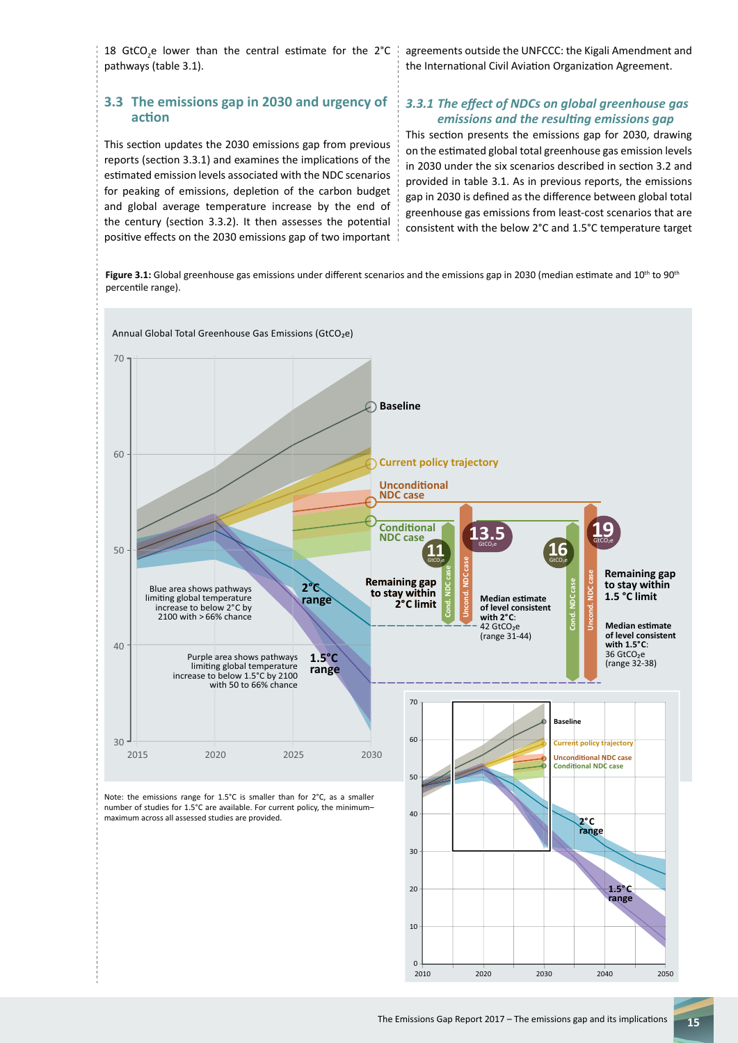18 GtCO<sub>2</sub>e lower than the central estimate for the 2°C pathways (table 3.1).

# **3.3 The emissions gap in 2030 and urgency of action**

This section updates the 2030 emissions gap from previous reports (section 3.3.1) and examines the implications of the estimated emission levels associated with the NDC scenarios for peaking of emissions, depletion of the carbon budget and global average temperature increase by the end of the century (section 3.3.2). It then assesses the potential positive effects on the 2030 emissions gap of two important agreements outside the UNFCCC: the Kigali Amendment and the International Civil Aviation Organization Agreement.

#### *3.3.1 The effect of NDCs on global greenhouse gas emissions and the resulting emissions gap*

This section presents the emissions gap for 2030, drawing on the estimated global total greenhouse gas emission levels in 2030 under the six scenarios described in section 3.2 and provided in table 3.1. As in previous reports, the emissions gap in 2030 is defined as the difference between global total greenhouse gas emissions from least-cost scenarios that are consistent with the below 2°C and 1.5°C temperature target

percentile range).

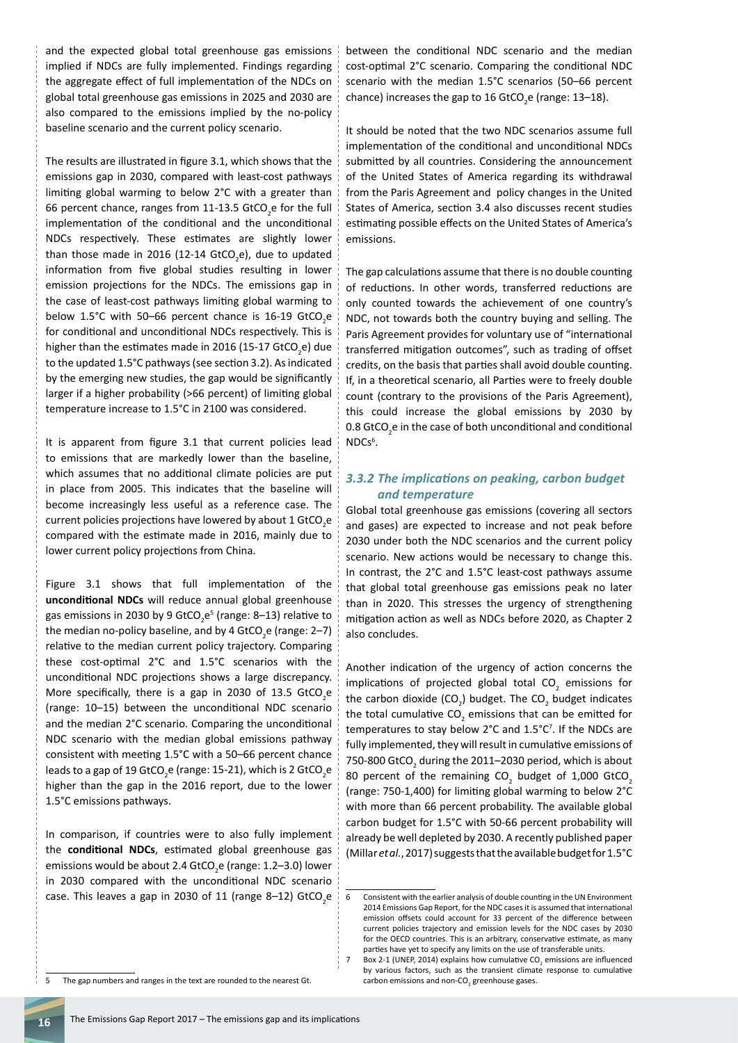and the expected global total greenhouse gas emissions implied if NDCs are fully implemented. Findings regarding the aggregate effect of full implementation of the NDCs on global total greenhouse gas emissions in 2025 and 2030 are also compared to the emissions implied by the no-policy baseline scenario and the current policy scenario.

The results are illustrated in figure 3.1, which shows that the emissions gap in 2030, compared with least-cost pathways limiting global warming to below 2°C with a greater than 66 percent chance, ranges from 11-13.5 GtCO<sub>2</sub>e for the full implementation of the conditional and the unconditional NDCs respectively. These estimates are slightly lower than those made in 2016 (12-14 GtCO<sub>2</sub>e), due to updated information from five global studies resulting in lower emission projections for the NDCs. The emissions gap in the case of least-cost pathways limiting global warming to below 1.5°C with 50–66 percent chance is 16-19 GtCO<sub>2</sub>e for conditional and unconditional NDCs respectively. This is higher than the estimates made in 2016 (15-17 GtCO<sub>2</sub>e) due to the updated 1.5°C pathways (see section 3.2). As indicated by the emerging new studies, the gap would be significantly larger if a higher probability (>66 percent) of limiting global temperature increase to 1.5°C in 2100 was considered.

It is apparent from figure 3.1 that current policies lead to emissions that are markedly lower than the baseline, which assumes that no additional climate policies are put in place from 2005. This indicates that the baseline will become increasingly less useful as a reference case. The current policies projections have lowered by about 1 GtCO<sub>2</sub>e compared with the estimate made in 2016, mainly due to lower current policy projections from China.

Figure 3.1 shows that full implementation of the **unconditional NDCs** will reduce annual global greenhouse gas emissions in 2030 by 9 GtCO<sub>2</sub>e<sup>5</sup> (range: 8–13) relative to the median no-policy baseline, and by 4 GtCO<sub>2</sub>e (range: 2–7) relative to the median current policy trajectory. Comparing these cost-optimal 2°C and 1.5°C scenarios with the unconditional NDC projections shows a large discrepancy. More specifically, there is a gap in 2030 of 13.5  $GCO<sub>2</sub>e$ (range: 10–15) between the unconditional NDC scenario and the median 2°C scenario. Comparing the unconditional NDC scenario with the median global emissions pathway consistent with meeting 1.5°C with a 50–66 percent chance leads to a gap of 19 GtCO<sub>2</sub>e (range: 15-21), which is 2 GtCO<sub>2</sub>e higher than the gap in the 2016 report, due to the lower 1.5°C emissions pathways.

In comparison, if countries were to also fully implement the **conditional NDCs**, estimated global greenhouse gas emissions would be about 2.4 GtCO<sub>2</sub>e (range: 1.2–3.0) lower in 2030 compared with the unconditional NDC scenario case. This leaves a gap in 2030 of 11 (range 8–12) GtCO<sub>2</sub>e

5 The gap numbers and ranges in the text are rounded to the nearest Gt.

between the conditional NDC scenario and the median cost-optimal 2°C scenario. Comparing the conditional NDC scenario with the median 1.5°C scenarios (50–66 percent chance) increases the gap to 16 GtCO<sub>2</sub>e (range: 13–18).

It should be noted that the two NDC scenarios assume full implementation of the conditional and unconditional NDCs submitted by all countries. Considering the announcement of the United States of America regarding its withdrawal from the Paris Agreement and policy changes in the United States of America, section 3.4 also discusses recent studies estimating possible effects on the United States of America's emissions.

The gap calculations assume that there is no double counting of reductions. In other words, transferred reductions are only counted towards the achievement of one country's NDC, not towards both the country buying and selling. The Paris Agreement provides for voluntary use of "international transferred mitigation outcomes", such as trading of offset credits, on the basis that parties shall avoid double counting. If, in a theoretical scenario, all Parties were to freely double count (contrary to the provisions of the Paris Agreement), this could increase the global emissions by 2030 by 0.8  $GtCO<sub>2</sub>e$  in the case of both unconditional and conditional NDCs<sup>6</sup>.

#### *3.3.2 The implications on peaking, carbon budget and temperature*

Global total greenhouse gas emissions (covering all sectors and gases) are expected to increase and not peak before 2030 under both the NDC scenarios and the current policy scenario. New actions would be necessary to change this. In contrast, the 2°C and 1.5°C least-cost pathways assume that global total greenhouse gas emissions peak no later than in 2020. This stresses the urgency of strengthening mitigation action as well as NDCs before 2020, as Chapter 2 also concludes.

Another indication of the urgency of action concerns the implications of projected global total  $CO_2$  emissions for the carbon dioxide (CO<sub>2</sub>) budget. The CO<sub>2</sub> budget indicates the total cumulative  $CO_2$  emissions that can be emitted for temperatures to stay below 2°C and 1.5°C7 . If the NDCs are fully implemented, they will result in cumulative emissions of 750-800 GtCO<sub>2</sub> during the 2011–2030 period, which is about 80 percent of the remaining  $CO_2$  budget of 1,000 GtCO<sub>2</sub> (range: 750-1,400) for limiting global warming to below 2°C with more than 66 percent probability. The available global carbon budget for 1.5°C with 50-66 percent probability will already be well depleted by 2030. A recently published paper (Millar *et al.*, 2017) suggests that the available budget for 1.5°C

<sup>6</sup> Consistent with the earlier analysis of double counting in the UN Environment 2014 Emissions Gap Report, for the NDC cases it is assumed that international emission offsets could account for 33 percent of the difference between current policies trajectory and emission levels for the NDC cases by 2030 for the OECD countries. This is an arbitrary, conservative estimate, as many parties have yet to specify any limits on the use of transferable units.

<sup>7</sup> Box 2-1 (UNEP, 2014) explains how cumulative  $CO_2$  emissions are influenced by various factors, such as the transient climate response to cumulative carbon emissions and non-CO<sub>2</sub> greenhouse gases.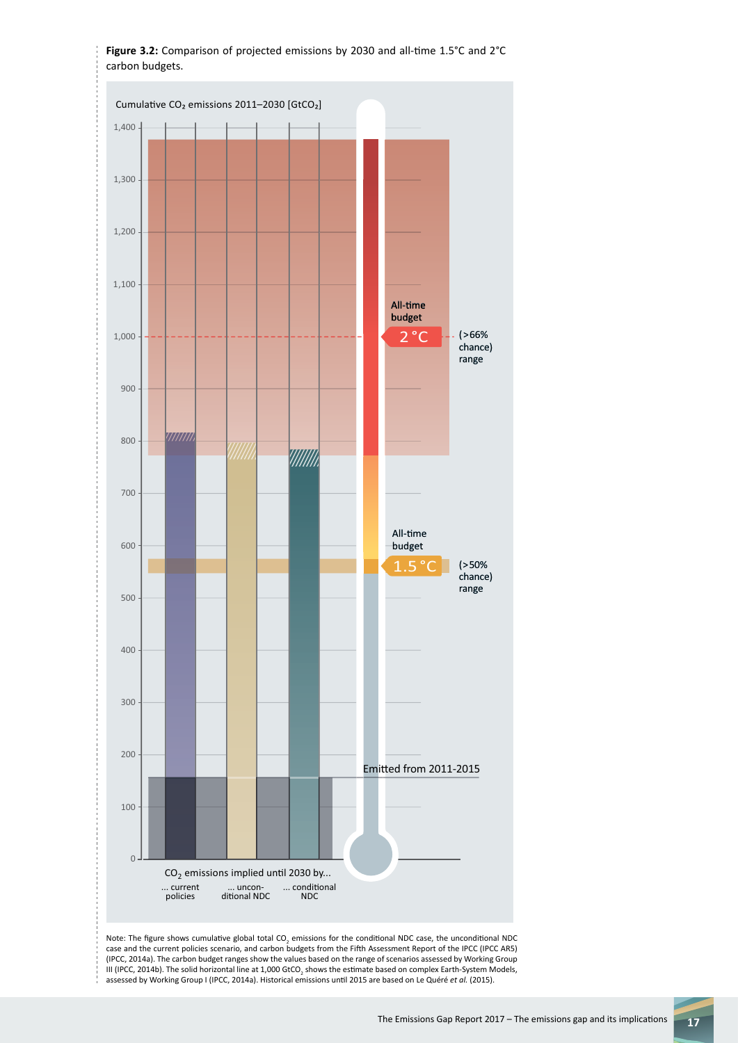

III (IPCC, 2014b). The solid horizontal line at 1,000 GtCO<sub>2</sub> shows the estimate based on complex Earth-System Models, assessed by Working Group I (IPCC, 2014a). Historical emissions until 2015 are based on Le Quéré *et al.* (2015).

**Figure 3.2:** Comparison of projected emissions by 2030 and all-time 1.5°C and 2°C carbon budgets.

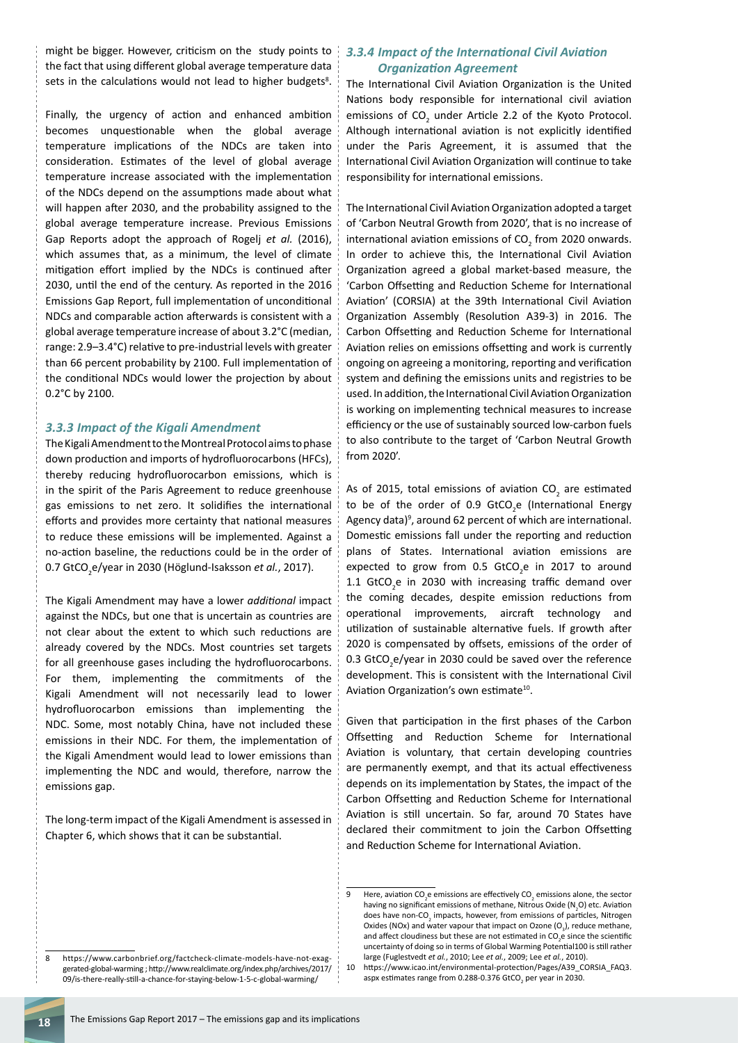might be bigger. However, criticism on the study points to the fact that using different global average temperature data sets in the calculations would not lead to higher budgets<sup>8</sup>.

Finally, the urgency of action and enhanced ambition becomes unquestionable when the global average temperature implications of the NDCs are taken into consideration. Estimates of the level of global average temperature increase associated with the implementation of the NDCs depend on the assumptions made about what will happen after 2030, and the probability assigned to the global average temperature increase. Previous Emissions Gap Reports adopt the approach of Rogelj *et al.* (2016), which assumes that, as a minimum, the level of climate mitigation effort implied by the NDCs is continued after 2030, until the end of the century. As reported in the 2016 Emissions Gap Report, full implementation of unconditional NDCs and comparable action afterwards is consistent with a global average temperature increase of about 3.2°C (median, range: 2.9–3.4°C) relative to pre-industrial levels with greater than 66 percent probability by 2100. Full implementation of the conditional NDCs would lower the projection by about 0.2°C by 2100.

#### *3.3.3 Impact of the Kigali Amendment*

The Kigali Amendment to the Montreal Protocol aims to phase down production and imports of hydrofluorocarbons (HFCs), thereby reducing hydrofluorocarbon emissions, which is in the spirit of the Paris Agreement to reduce greenhouse gas emissions to net zero. It solidifies the international efforts and provides more certainty that national measures to reduce these emissions will be implemented. Against a no-action baseline, the reductions could be in the order of 0.7 GtCO<sub>2</sub>e/year in 2030 (Höglund-Isaksson *et al.,* 2017).

The Kigali Amendment may have a lower *additional* impact against the NDCs, but one that is uncertain as countries are not clear about the extent to which such reductions are already covered by the NDCs. Most countries set targets for all greenhouse gases including the hydrofluorocarbons. For them, implementing the commitments of the Kigali Amendment will not necessarily lead to lower hydrofluorocarbon emissions than implementing the NDC. Some, most notably China, have not included these emissions in their NDC. For them, the implementation of the Kigali Amendment would lead to lower emissions than implementing the NDC and would, therefore, narrow the emissions gap.

The long-term impact of the Kigali Amendment is assessed in Chapter 6, which shows that it can be substantial.

#### *3.3.4 Impact of the International Civil Aviation Organization Agreement*

The International Civil Aviation Organization is the United Nations body responsible for international civil aviation emissions of  $CO_2$  under Article 2.2 of the Kyoto Protocol. Although international aviation is not explicitly identified under the Paris Agreement, it is assumed that the International Civil Aviation Organization will continue to take responsibility for international emissions.

The International Civil Aviation Organization adopted a target of 'Carbon Neutral Growth from 2020', that is no increase of international aviation emissions of  $CO_2$  from 2020 onwards. In order to achieve this, the International Civil Aviation Organization agreed a global market-based measure, the 'Carbon Offsetting and Reduction Scheme for International Aviation' (CORSIA) at the 39th International Civil Aviation Organization Assembly (Resolution A39-3) in 2016. The Carbon Offsetting and Reduction Scheme for International Aviation relies on emissions offsetting and work is currently ongoing on agreeing a monitoring, reporting and verification system and defining the emissions units and registries to be used. In addition, the International Civil Aviation Organization is working on implementing technical measures to increase efficiency or the use of sustainably sourced low-carbon fuels to also contribute to the target of 'Carbon Neutral Growth from 2020'.

As of 2015, total emissions of aviation CO<sub>2</sub> are estimated to be of the order of 0.9 GtCO<sub>2</sub>e (International Energy Agency data)<sup>9</sup>, around 62 percent of which are international. Domestic emissions fall under the reporting and reduction plans of States. International aviation emissions are expected to grow from  $0.5$  GtCO<sub>2</sub>e in 2017 to around 1.1  $GtCO<sub>2</sub>e$  in 2030 with increasing traffic demand over the coming decades, despite emission reductions from operational improvements, aircraft technology and utilization of sustainable alternative fuels. If growth after 2020 is compensated by offsets, emissions of the order of 0.3  $GtCO<sub>2</sub>e/year$  in 2030 could be saved over the reference development. This is consistent with the International Civil Aviation Organization's own estimate<sup>10</sup>.

Given that participation in the first phases of the Carbon Offsetting and Reduction Scheme for International Aviation is voluntary, that certain developing countries are permanently exempt, and that its actual effectiveness depends on its implementation by States, the impact of the Carbon Offsetting and Reduction Scheme for International Aviation is still uncertain. So far, around 70 States have declared their commitment to join the Carbon Offsetting and Reduction Scheme for International Aviation.

<sup>9</sup> Here, aviation  $CO_2$ e emissions are effectively  $CO_2$  emissions alone, the sector having no significant emissions of methane, Nitrous Oxide ( $N_2$ O) etc. Aviation does have non-CO<sub>2</sub> impacts, however, from emissions of particles, Nitrogen Oxides (NOx) and water vapour that impact on Ozone  $(O_3)$ , reduce methane, and affect cloudiness but these are not estimated in  $CO_2e$  since the scientific uncertainty of doing so in terms of Global Warming Potential100 is still rather large (Fuglestvedt *et al.*, 2010; Lee *et al.*, 2009; Lee *et al.*, 2010).

<sup>8</sup> https://www.carbonbrief.org/factcheck-climate-models-have-not-exaggerated-global-warming ; http://www.realclimate.org/index.php/archives/2017/ 09/is-there-really-still-a-chance-for-staying-below-1-5-c-global-warming/

<sup>10</sup> https://www.icao.int/environmental-protection/Pages/A39\_CORSIA\_FAQ3. aspx estimates range from 0.288-0.376 GtCO<sub>2</sub> per year in 2030.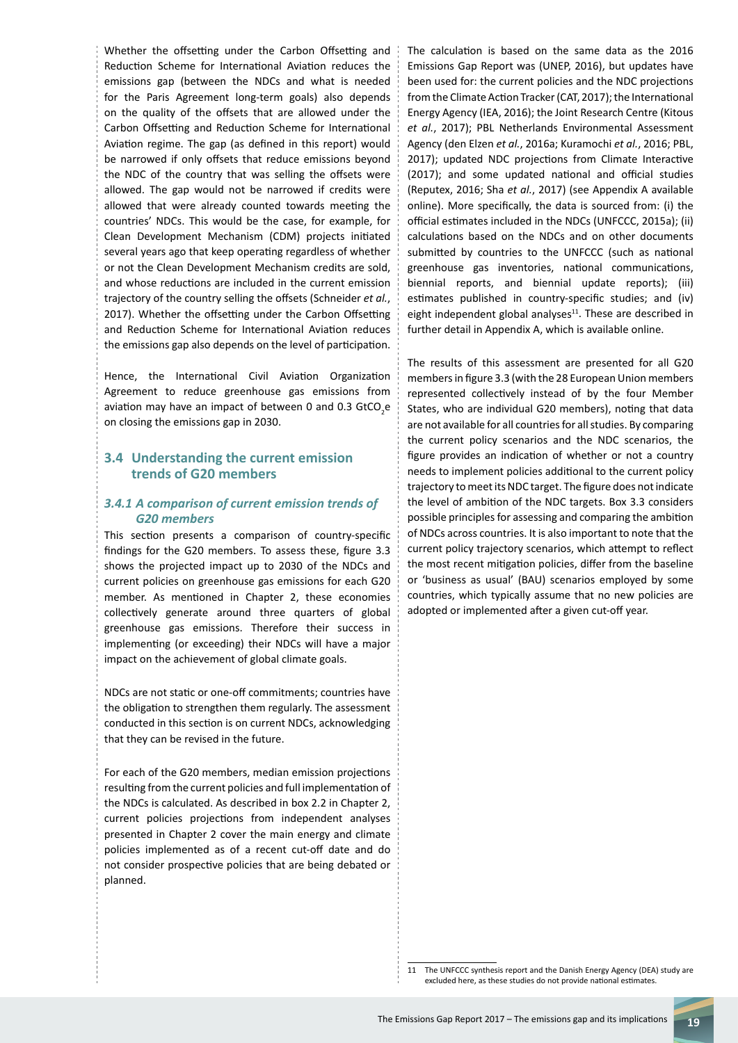Whether the offsetting under the Carbon Offsetting and Reduction Scheme for International Aviation reduces the emissions gap (between the NDCs and what is needed for the Paris Agreement long-term goals) also depends on the quality of the offsets that are allowed under the Carbon Offsetting and Reduction Scheme for International Aviation regime. The gap (as defined in this report) would be narrowed if only offsets that reduce emissions beyond the NDC of the country that was selling the offsets were allowed. The gap would not be narrowed if credits were allowed that were already counted towards meeting the countries' NDCs. This would be the case, for example, for Clean Development Mechanism (CDM) projects initiated several years ago that keep operating regardless of whether or not the Clean Development Mechanism credits are sold, and whose reductions are included in the current emission trajectory of the country selling the offsets (Schneider *et al.*, 2017). Whether the offsetting under the Carbon Offsetting and Reduction Scheme for International Aviation reduces the emissions gap also depends on the level of participation.

Hence, the International Civil Aviation Organization Agreement to reduce greenhouse gas emissions from aviation may have an impact of between 0 and 0.3 GtCO<sub>2</sub>e on closing the emissions gap in 2030.

#### **3.4 Understanding the current emission trends of G20 members**

#### *3.4.1 A comparison of current emission trends of G20 members*

This section presents a comparison of country-specific findings for the G20 members. To assess these, figure 3.3 shows the projected impact up to 2030 of the NDCs and current policies on greenhouse gas emissions for each G20 member. As mentioned in Chapter 2, these economies collectively generate around three quarters of global greenhouse gas emissions. Therefore their success in implementing (or exceeding) their NDCs will have a major impact on the achievement of global climate goals.

NDCs are not static or one-off commitments; countries have the obligation to strengthen them regularly. The assessment conducted in this section is on current NDCs, acknowledging that they can be revised in the future.

For each of the G20 members, median emission projections resulting from the current policies and full implementation of the NDCs is calculated. As described in box 2.2 in Chapter 2, current policies projections from independent analyses presented in Chapter 2 cover the main energy and climate policies implemented as of a recent cut-off date and do not consider prospective policies that are being debated or planned.

The calculation is based on the same data as the 2016 Emissions Gap Report was (UNEP, 2016), but updates have been used for: the current policies and the NDC projections from the Climate Action Tracker (CAT, 2017); the International Energy Agency (IEA, 2016); the Joint Research Centre (Kitous *et al.*, 2017); PBL Netherlands Environmental Assessment Agency (den Elzen *et al.*, 2016a; Kuramochi *et al.*, 2016; PBL, 2017); updated NDC projections from Climate Interactive (2017); and some updated national and official studies (Reputex, 2016; Sha *et al.*, 2017) (see Appendix A available online). More specifically, the data is sourced from: (i) the official estimates included in the NDCs (UNFCCC, 2015a); (ii) calculations based on the NDCs and on other documents submitted by countries to the UNFCCC (such as national greenhouse gas inventories, national communications, biennial reports, and biennial update reports); (iii) estimates published in country-specific studies; and (iv) eight independent global analyses $11$ . These are described in further detail in Appendix A, which is available online.

The results of this assessment are presented for all G20 members in figure 3.3 (with the 28 European Union members represented collectively instead of by the four Member States, who are individual G20 members), noting that data are not available for all countries for all studies. By comparing the current policy scenarios and the NDC scenarios, the figure provides an indication of whether or not a country needs to implement policies additional to the current policy trajectory to meet its NDC target. The figure does not indicate the level of ambition of the NDC targets. Box 3.3 considers possible principles for assessing and comparing the ambition of NDCs across countries. It is also important to note that the current policy trajectory scenarios, which attempt to reflect the most recent mitigation policies, differ from the baseline or 'business as usual' (BAU) scenarios employed by some countries, which typically assume that no new policies are adopted or implemented after a given cut-off year.

<sup>11</sup> The UNFCCC synthesis report and the Danish Energy Agency (DEA) study are excluded here, as these studies do not provide national estimates.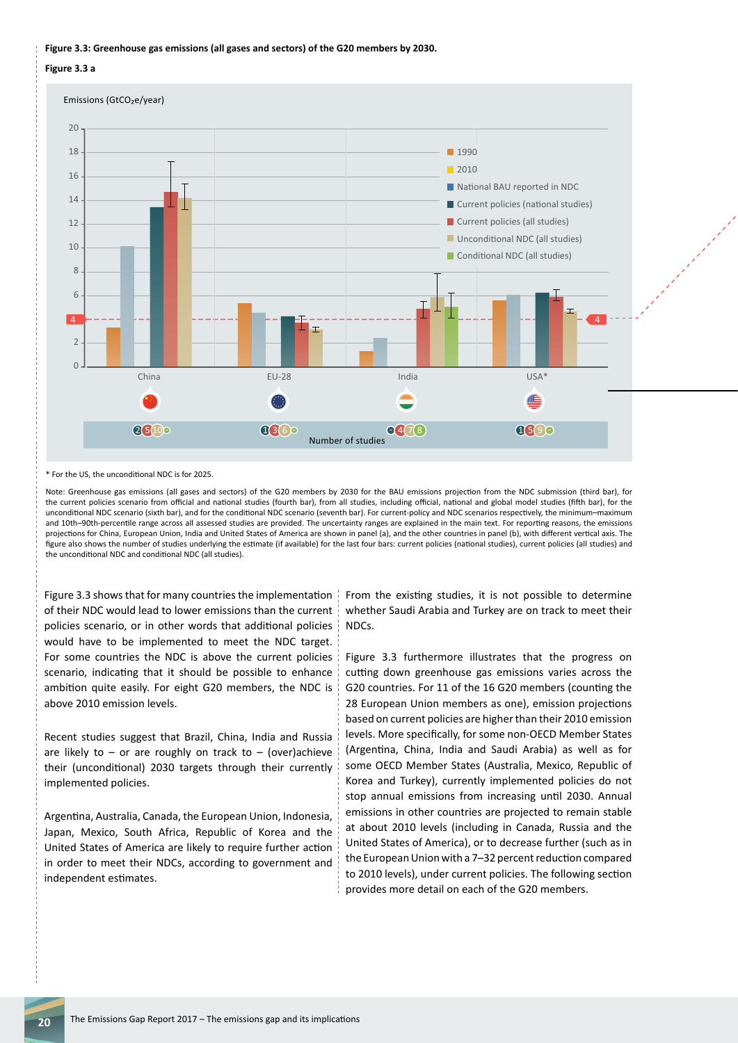#### **Figure 3.3: Greenhouse gas emissions (all gases and sectors) of the G20 members by 2030.**

**Figure 3.3 a**



\* For the US, the unconditional NDC is for 2025.

Note: Greenhouse gas emissions (all gases and sectors) of the G20 members by 2030 for the BAU emissions projection from the NDC submission (third bar), for the current policies scenario from official and national studies (fourth bar), from all studies, including official, national and global model studies (fifth bar), for the unconditional NDC scenario (sixth bar), and for the conditional NDC scenario (seventh bar). For current-policy and NDC scenarios respectively, the minimum–maximum and 10th–90th-percentile range across all assessed studies are provided. The uncertainty ranges are explained in the main text. For reporting reasons, the emissions projections for China, European Union, India and United States of America are shown in panel (a), and the other countries in panel (b), with different vertical axis. The figure also shows the number of studies underlying the estimate (if available) for the last four bars: current policies (national studies), current policies (all studies) and the unconditional NDC and conditional NDC (all studies).

Figure 3.3 shows that for many countries the implementation of their NDC would lead to lower emissions than the current policies scenario, or in other words that additional policies would have to be implemented to meet the NDC target. For some countries the NDC is above the current policies scenario, indicating that it should be possible to enhance ambition quite easily. For eight G20 members, the NDC is above 2010 emission levels.

Recent studies suggest that Brazil, China, India and Russia are likely to – or are roughly on track to – (over)achieve their (unconditional) 2030 targets through their currently implemented policies.

Argentina, Australia, Canada, the European Union, Indonesia, Japan, Mexico, South Africa, Republic of Korea and the United States of America are likely to require further action in order to meet their NDCs, according to government and independent estimates.

From the existing studies, it is not possible to determine whether Saudi Arabia and Turkey are on track to meet their NDCs.

Figure 3.3 furthermore illustrates that the progress on cutting down greenhouse gas emissions varies across the G20 countries. For 11 of the 16 G20 members (counting the 28 European Union members as one), emission projections based on current policies are higher than their 2010 emission levels. More specifically, for some non-OECD Member States (Argentina, China, India and Saudi Arabia) as well as for some OECD Member States (Australia, Mexico, Republic of Korea and Turkey), currently implemented policies do not stop annual emissions from increasing until 2030. Annual emissions in other countries are projected to remain stable at about 2010 levels (including in Canada, Russia and the United States of America), or to decrease further (such as in the European Union with a 7–32 percent reduction compared to 2010 levels), under current policies. The following section provides more detail on each of the G20 members.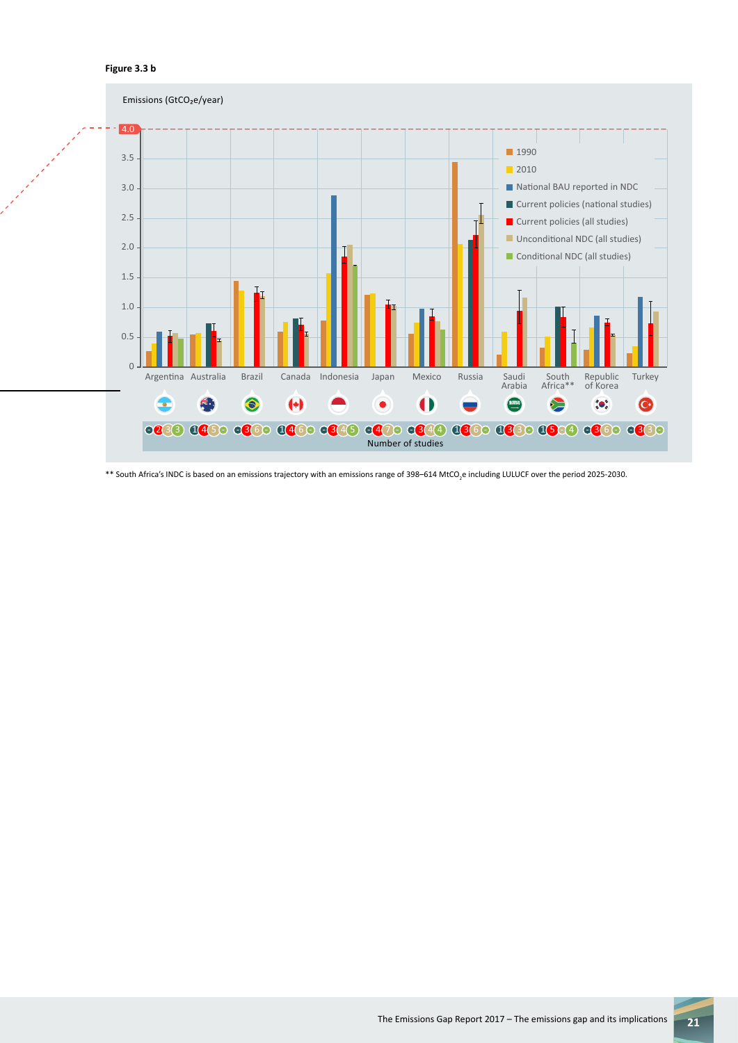

 $\rm *$  South Africa's INDC is based on an emissions trajectory with an emissions range of 398–614 MtCO<sub>2</sub>e including LULUCF over the period 2025-2030.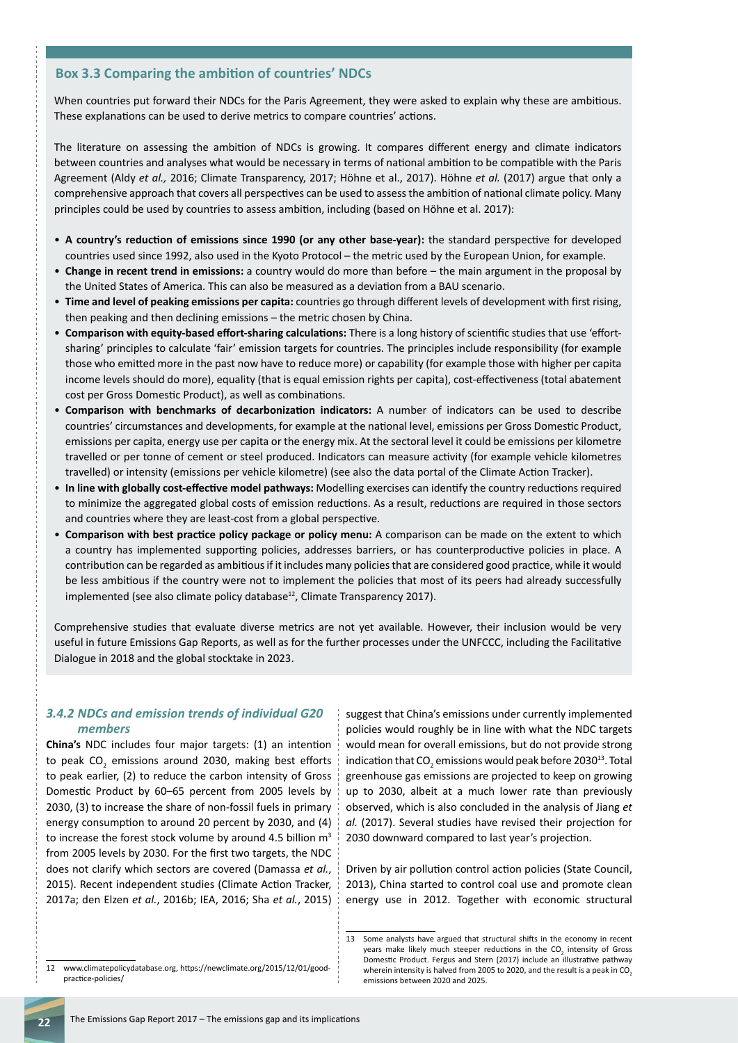#### **Box 3.3 Comparing the ambition of countries' NDCs**

When countries put forward their NDCs for the Paris Agreement, they were asked to explain why these are ambitious. These explanations can be used to derive metrics to compare countries' actions.

The literature on assessing the ambition of NDCs is growing. It compares different energy and climate indicators between countries and analyses what would be necessary in terms of national ambition to be compatible with the Paris Agreement (Aldy *et al.,* 2016; Climate Transparency, 2017; Höhne et al., 2017). Höhne *et al.* (2017) argue that only a comprehensive approach that covers all perspectives can be used to assess the ambition of national climate policy. Many principles could be used by countries to assess ambition, including (based on Höhne et al. 2017):

- **A country's reduction of emissions since 1990 (or any other base-year):** the standard perspective for developed countries used since 1992, also used in the Kyoto Protocol – the metric used by the European Union, for example.
- **Change in recent trend in emissions:** a country would do more than before the main argument in the proposal by the United States of America. This can also be measured as a deviation from a BAU scenario.
- **Time and level of peaking emissions per capita:** countries go through different levels of development with first rising, then peaking and then declining emissions – the metric chosen by China.
- **Comparison with equity-based effort-sharing calculations:** There is a long history of scientific studies that use 'effortsharing' principles to calculate 'fair' emission targets for countries. The principles include responsibility (for example those who emitted more in the past now have to reduce more) or capability (for example those with higher per capita income levels should do more), equality (that is equal emission rights per capita), cost-effectiveness (total abatement cost per Gross Domestic Product), as well as combinations.
- **Comparison with benchmarks of decarbonization indicators:** A number of indicators can be used to describe countries' circumstances and developments, for example at the national level, emissions per Gross Domestic Product, emissions per capita, energy use per capita or the energy mix. At the sectoral level it could be emissions per kilometre travelled or per tonne of cement or steel produced. Indicators can measure activity (for example vehicle kilometres travelled) or intensity (emissions per vehicle kilometre) (see also the data portal of the Climate Action Tracker).
- **In line with globally cost-effective model pathways:** Modelling exercises can identify the country reductions required to minimize the aggregated global costs of emission reductions. As a result, reductions are required in those sectors and countries where they are least-cost from a global perspective.
- **Comparison with best practice policy package or policy menu:** A comparison can be made on the extent to which a country has implemented supporting policies, addresses barriers, or has counterproductive policies in place. A contribution can be regarded as ambitious if it includes many policies that are considered good practice, while it would be less ambitious if the country were not to implement the policies that most of its peers had already successfully implemented (see also climate policy database<sup>12</sup>, Climate Transparency 2017).

Comprehensive studies that evaluate diverse metrics are not yet available. However, their inclusion would be very useful in future Emissions Gap Reports, as well as for the further processes under the UNFCCC, including the Facilitative Dialogue in 2018 and the global stocktake in 2023.

#### *3.4.2 NDCs and emission trends of individual G20 members*

**China's** NDC includes four major targets: (1) an intention to peak CO<sub>2</sub> emissions around 2030, making best efforts to peak earlier, (2) to reduce the carbon intensity of Gross Domestic Product by 60–65 percent from 2005 levels by 2030, (3) to increase the share of non-fossil fuels in primary energy consumption to around 20 percent by 2030, and (4) to increase the forest stock volume by around 4.5 billion  $m<sup>3</sup>$ from 2005 levels by 2030. For the first two targets, the NDC does not clarify which sectors are covered (Damassa *et al.*, 2015). Recent independent studies (Climate Action Tracker, 2017a; den Elzen *et al.*, 2016b; IEA, 2016; Sha *et al.*, 2015) suggest that China's emissions under currently implemented policies would roughly be in line with what the NDC targets would mean for overall emissions, but do not provide strong indication that  $CO_2$  emissions would peak before 2030<sup>13</sup>. Total greenhouse gas emissions are projected to keep on growing up to 2030, albeit at a much lower rate than previously observed, which is also concluded in the analysis of Jiang *et al.* (2017). Several studies have revised their projection for 2030 downward compared to last year's projection.

Driven by air pollution control action policies (State Council, 2013), China started to control coal use and promote clean energy use in 2012. Together with economic structural

<sup>13</sup> Some analysts have argued that structural shifts in the economy in recent years make likely much steeper reductions in the CO<sub>2</sub> intensity of Gross Domestic Product. Fergus and Stern (2017) include an illustrative pathway wherein intensity is halved from 2005 to 2020, and the result is a peak in  $CO<sub>2</sub>$ emissions between 2020 and 2025.

<sup>12</sup> www.climatepolicydatabase.org, https://newclimate.org/2015/12/01/goodpractice-policies/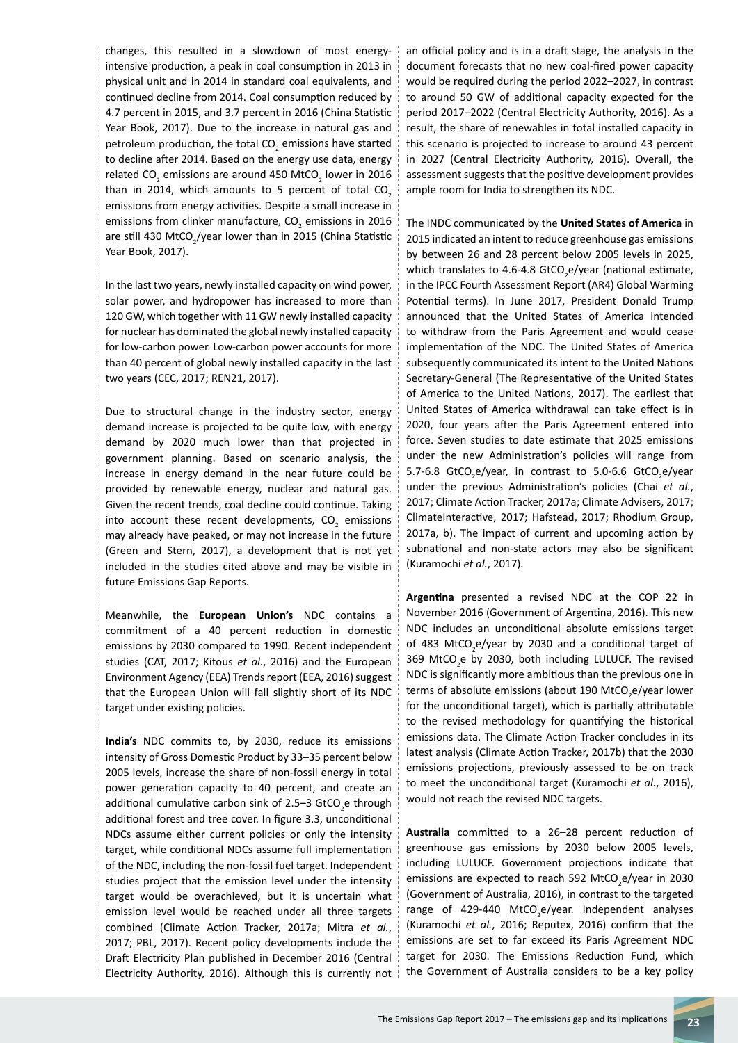changes, this resulted in a slowdown of most energyintensive production, a peak in coal consumption in 2013 in physical unit and in 2014 in standard coal equivalents, and continued decline from 2014. Coal consumption reduced by 4.7 percent in 2015, and 3.7 percent in 2016 (China Statistic Year Book, 2017). Due to the increase in natural gas and petroleum production, the total CO<sub>2</sub> emissions have started to decline after 2014. Based on the energy use data, energy related CO<sub>2</sub> emissions are around 450 MtCO<sub>2</sub> lower in 2016 than in 2014, which amounts to 5 percent of total  $CO<sub>2</sub>$ emissions from energy activities. Despite a small increase in emissions from clinker manufacture, CO<sub>2</sub> emissions in 2016 are still 430 MtCO<sub>2</sub>/year lower than in 2015 (China Statistic Year Book, 2017).

In the last two years, newly installed capacity on wind power, solar power, and hydropower has increased to more than 120 GW, which together with 11 GW newly installed capacity for nuclear has dominated the global newly installed capacity for low-carbon power. Low-carbon power accounts for more than 40 percent of global newly installed capacity in the last two years (CEC, 2017; REN21, 2017).

Due to structural change in the industry sector, energy demand increase is projected to be quite low, with energy demand by 2020 much lower than that projected in government planning. Based on scenario analysis, the increase in energy demand in the near future could be provided by renewable energy, nuclear and natural gas. Given the recent trends, coal decline could continue. Taking into account these recent developments,  $CO_2$  emissions may already have peaked, or may not increase in the future (Green and Stern, 2017), a development that is not yet included in the studies cited above and may be visible in future Emissions Gap Reports.

Meanwhile, the **European Union's** NDC contains a commitment of a 40 percent reduction in domestic emissions by 2030 compared to 1990. Recent independent studies (CAT, 2017; Kitous *et al.*, 2016) and the European Environment Agency (EEA) Trends report (EEA, 2016) suggest that the European Union will fall slightly short of its NDC target under existing policies.

**India's** NDC commits to, by 2030, reduce its emissions intensity of Gross Domestic Product by 33–35 percent below 2005 levels, increase the share of non-fossil energy in total power generation capacity to 40 percent, and create an additional cumulative carbon sink of 2.5–3 GtCO<sub>2</sub>e through additional forest and tree cover. In figure 3.3, unconditional NDCs assume either current policies or only the intensity target, while conditional NDCs assume full implementation of the NDC, including the non-fossil fuel target. Independent studies project that the emission level under the intensity target would be overachieved, but it is uncertain what emission level would be reached under all three targets combined (Climate Action Tracker, 2017a; Mitra *et al.*, 2017; PBL, 2017). Recent policy developments include the Draft Electricity Plan published in December 2016 (Central Electricity Authority, 2016). Although this is currently not

an official policy and is in a draft stage, the analysis in the document forecasts that no new coal-fired power capacity would be required during the period 2022–2027, in contrast to around 50 GW of additional capacity expected for the period 2017–2022 (Central Electricity Authority, 2016). As a result, the share of renewables in total installed capacity in this scenario is projected to increase to around 43 percent in 2027 (Central Electricity Authority, 2016). Overall, the assessment suggests that the positive development provides ample room for India to strengthen its NDC.

The INDC communicated by the **United States of America** in 2015 indicated an intent to reduce greenhouse gas emissions by between 26 and 28 percent below 2005 levels in 2025, which translates to 4.6-4.8 GtCO<sub>2</sub>e/year (national estimate, in the IPCC Fourth Assessment Report (AR4) Global Warming Potential terms). In June 2017, President Donald Trump announced that the United States of America intended to withdraw from the Paris Agreement and would cease implementation of the NDC. The United States of America subsequently communicated its intent to the United Nations Secretary-General (The Representative of the United States of America to the United Nations, 2017). The earliest that United States of America withdrawal can take effect is in 2020, four years after the Paris Agreement entered into force. Seven studies to date estimate that 2025 emissions under the new Administration's policies will range from 5.7-6.8 GtCO<sub>2</sub>e/year, in contrast to 5.0-6.6 GtCO<sub>2</sub>e/year under the previous Administration's policies (Chai *et al.*, 2017; Climate Action Tracker, 2017a; Climate Advisers, 2017; ClimateInteractive, 2017; Hafstead, 2017; Rhodium Group, 2017a, b). The impact of current and upcoming action by subnational and non-state actors may also be significant (Kuramochi *et al.*, 2017).

**Argentina** presented a revised NDC at the COP 22 in November 2016 (Government of Argentina, 2016). This new NDC includes an unconditional absolute emissions target of 483 MtCO<sub>2</sub>e/year by 2030 and a conditional target of 369 MtCO<sub>2</sub>e by 2030, both including LULUCF. The revised NDC is significantly more ambitious than the previous one in terms of absolute emissions (about 190 MtCO<sub>2</sub>e/year lower for the unconditional target), which is partially attributable to the revised methodology for quantifying the historical emissions data. The Climate Action Tracker concludes in its latest analysis (Climate Action Tracker, 2017b) that the 2030 emissions projections, previously assessed to be on track to meet the unconditional target (Kuramochi *et al.*, 2016), would not reach the revised NDC targets.

**Australia** committed to a 26–28 percent reduction of greenhouse gas emissions by 2030 below 2005 levels, including LULUCF. Government projections indicate that emissions are expected to reach 592 MtCO<sub>2</sub>e/year in 2030 (Government of Australia, 2016), in contrast to the targeted range of 429-440 MtCO<sub>2</sub>e/year. Independent analyses (Kuramochi *et al.*, 2016; Reputex, 2016) confirm that the emissions are set to far exceed its Paris Agreement NDC target for 2030. The Emissions Reduction Fund, which the Government of Australia considers to be a key policy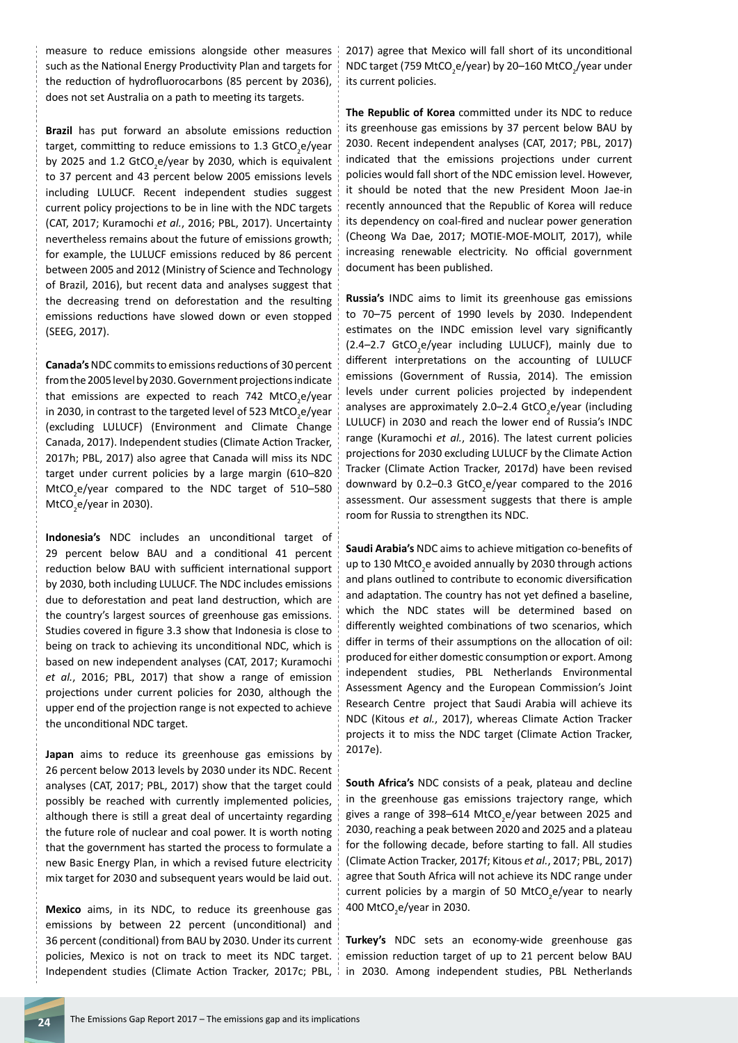measure to reduce emissions alongside other measures such as the National Energy Productivity Plan and targets for the reduction of hydrofluorocarbons (85 percent by 2036), does not set Australia on a path to meeting its targets.

**Brazil** has put forward an absolute emissions reduction target, committing to reduce emissions to 1.3 GtCO<sub>2</sub>e/year by 2025 and 1.2 GtCO<sub>2</sub>e/year by 2030, which is equivalent to 37 percent and 43 percent below 2005 emissions levels including LULUCF. Recent independent studies suggest current policy projections to be in line with the NDC targets (CAT, 2017; Kuramochi *et al.*, 2016; PBL, 2017). Uncertainty nevertheless remains about the future of emissions growth; for example, the LULUCF emissions reduced by 86 percent between 2005 and 2012 (Ministry of Science and Technology of Brazil, 2016), but recent data and analyses suggest that the decreasing trend on deforestation and the resulting emissions reductions have slowed down or even stopped (SEEG, 2017).

**Canada's** NDC commits to emissions reductions of 30 percent from the 2005 level by 2030. Government projections indicate that emissions are expected to reach 742 MtCO<sub>2</sub>e/year in 2030, in contrast to the targeted level of 523 MtCO<sub>2</sub>e/year (excluding LULUCF) (Environment and Climate Change Canada, 2017). Independent studies (Climate Action Tracker, 2017h; PBL, 2017) also agree that Canada will miss its NDC target under current policies by a large margin (610–820  $MtCO_2$ e/year compared to the NDC target of 510–580 MtCO<sub>2</sub>e/year in 2030).

**Indonesia's** NDC includes an unconditional target of 29 percent below BAU and a conditional 41 percent reduction below BAU with sufficient international support by 2030, both including LULUCF. The NDC includes emissions due to deforestation and peat land destruction, which are the country's largest sources of greenhouse gas emissions. Studies covered in figure 3.3 show that Indonesia is close to being on track to achieving its unconditional NDC, which is based on new independent analyses (CAT, 2017; Kuramochi *et al.*, 2016; PBL, 2017) that show a range of emission projections under current policies for 2030, although the upper end of the projection range is not expected to achieve the unconditional NDC target.

**Japan** aims to reduce its greenhouse gas emissions by 26 percent below 2013 levels by 2030 under its NDC. Recent analyses (CAT, 2017; PBL, 2017) show that the target could possibly be reached with currently implemented policies, although there is still a great deal of uncertainty regarding the future role of nuclear and coal power. It is worth noting that the government has started the process to formulate a new Basic Energy Plan, in which a revised future electricity mix target for 2030 and subsequent years would be laid out.

**Mexico** aims, in its NDC, to reduce its greenhouse gas emissions by between 22 percent (unconditional) and 36 percent (conditional) from BAU by 2030. Under its current policies, Mexico is not on track to meet its NDC target. Independent studies (Climate Action Tracker, 2017c; PBL, 2017) agree that Mexico will fall short of its unconditional NDC target (759 MtCO<sub>2</sub>e/year) by 20–160 MtCO<sub>2</sub>/year under its current policies.

**The Republic of Korea** committed under its NDC to reduce its greenhouse gas emissions by 37 percent below BAU by 2030. Recent independent analyses (CAT, 2017; PBL, 2017) indicated that the emissions projections under current policies would fall short of the NDC emission level. However, it should be noted that the new President Moon Jae-in recently announced that the Republic of Korea will reduce its dependency on coal-fired and nuclear power generation (Cheong Wa Dae, 2017; MOTIE-MOE-MOLIT, 2017), while increasing renewable electricity. No official government document has been published.

**Russia's** INDC aims to limit its greenhouse gas emissions to 70–75 percent of 1990 levels by 2030. Independent estimates on the INDC emission level vary significantly (2.4-2.7 GtCO<sub>2</sub>e/year including LULUCF), mainly due to different interpretations on the accounting of LULUCF emissions (Government of Russia, 2014). The emission levels under current policies projected by independent analyses are approximately 2.0–2.4 GtCO<sub>2</sub>e/year (including LULUCF) in 2030 and reach the lower end of Russia's INDC range (Kuramochi *et al.*, 2016). The latest current policies projections for 2030 excluding LULUCF by the Climate Action Tracker (Climate Action Tracker, 2017d) have been revised downward by 0.2-0.3 GtCO<sub>2</sub>e/year compared to the 2016 assessment. Our assessment suggests that there is ample room for Russia to strengthen its NDC.

**Saudi Arabia's** NDC aims to achieve mitigation co-benefits of up to 130 MtCO<sub>2</sub>e avoided annually by 2030 through actions and plans outlined to contribute to economic diversification and adaptation. The country has not yet defined a baseline, which the NDC states will be determined based on differently weighted combinations of two scenarios, which differ in terms of their assumptions on the allocation of oil: produced for either domestic consumption or export. Among independent studies, PBL Netherlands Environmental Assessment Agency and the European Commission's Joint Research Centre project that Saudi Arabia will achieve its NDC (Kitous *et al.*, 2017), whereas Climate Action Tracker projects it to miss the NDC target (Climate Action Tracker, 2017e).

**South Africa's** NDC consists of a peak, plateau and decline in the greenhouse gas emissions trajectory range, which gives a range of 398–614 MtCO<sub>2</sub>e/year between 2025 and 2030, reaching a peak between 2020 and 2025 and a plateau for the following decade, before starting to fall. All studies (Climate Action Tracker, 2017f; Kitous *et al.*, 2017; PBL, 2017) agree that South Africa will not achieve its NDC range under current policies by a margin of 50 MtCO<sub>2</sub>e/year to nearly 400 MtCO<sub>2</sub>e/year in 2030.

**Turkey's** NDC sets an economy-wide greenhouse gas emission reduction target of up to 21 percent below BAU in 2030. Among independent studies, PBL Netherlands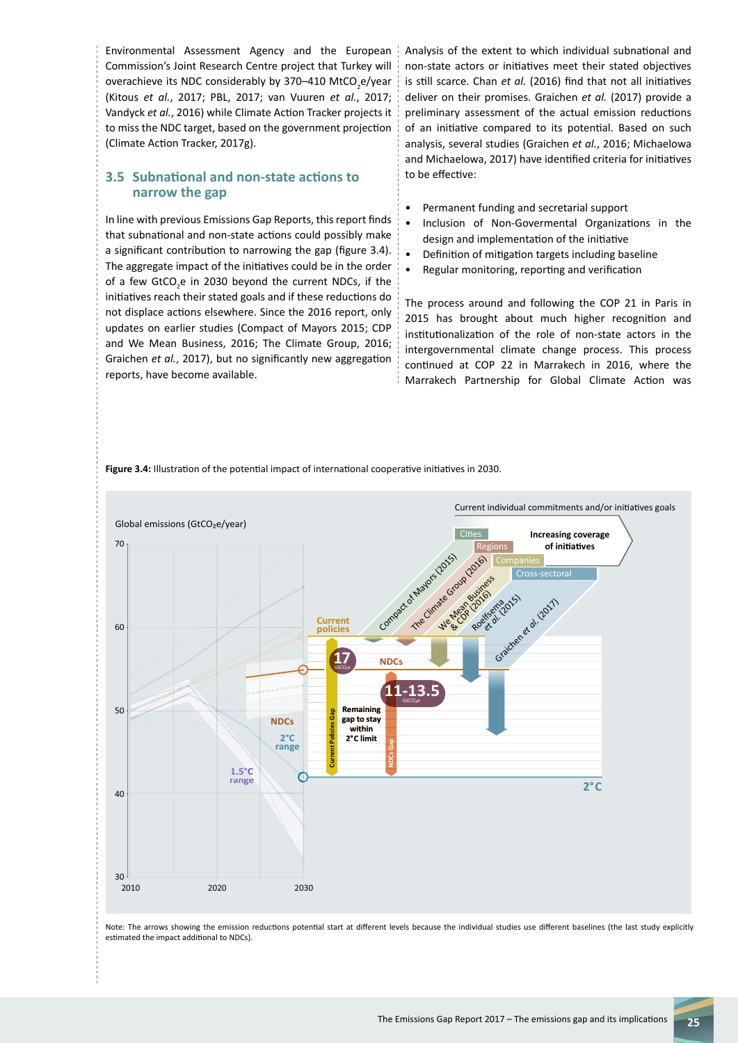Environmental Assessment Agency and the European Commission's Joint Research Centre project that Turkey will overachieve its NDC considerably by 370–410 MtCO<sub>2</sub>e/year (Kitous *et al.*, 2017; PBL, 2017; van Vuuren *et al.*, 2017; Vandyck *et al.*, 2016) while Climate Action Tracker projects it to miss the NDC target, based on the government projection (Climate Action Tracker, 2017g).

### **3.5 Subnational and non-state actions to narrow the gap**

In line with previous Emissions Gap Reports, this report finds that subnational and non-state actions could possibly make a significant contribution to narrowing the gap (figure 3.4). The aggregate impact of the initiatives could be in the order of a few GtCO<sub>2</sub>e in 2030 beyond the current NDCs, if the initiatives reach their stated goals and if these reductions do not displace actions elsewhere. Since the 2016 report, only updates on earlier studies (Compact of Mayors 2015; CDP and We Mean Business, 2016; The Climate Group, 2016; Graichen *et al.*, 2017), but no significantly new aggregation reports, have become available.

Analysis of the extent to which individual subnational and non-state actors or initiatives meet their stated objectives is still scarce. Chan *et al.* (2016) find that not all initiatives deliver on their promises. Graichen *et al.* (2017) provide a preliminary assessment of the actual emission reductions of an initiative compared to its potential. Based on such analysis, several studies (Graichen *et al.*, 2016; Michaelowa and Michaelowa, 2017) have identified criteria for initiatives to be effective:

- Permanent funding and secretarial support
- Inclusion of Non-Govermental Organizations in the design and implementation of the initiative
- Definition of mitigation targets including baseline
- Regular monitoring, reporting and verification

The process around and following the COP 21 in Paris in 2015 has brought about much higher recognition and institutionalization of the role of non-state actors in the intergovernmental climate change process. This process continued at COP 22 in Marrakech in 2016, where the Marrakech Partnership for Global Climate Action was

**Figure 3.4:** Illustration of the potential impact of international cooperative initiatives in 2030.



Note: The arrows showing the emission reductions potential start at different levels because the individual studies use different baselines (the last study explicitly estimated the impact additional to NDCs).